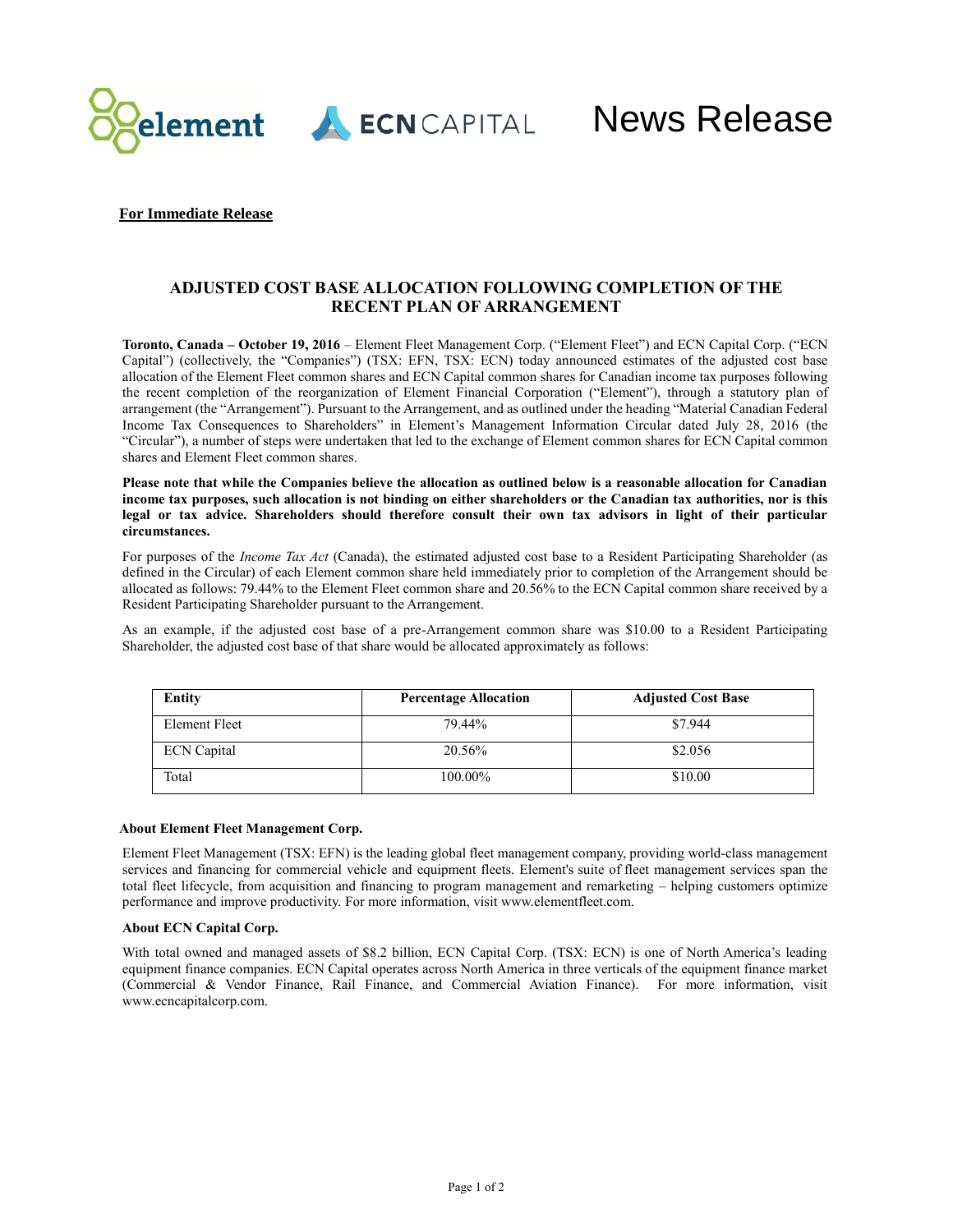

ECNCAPITAL

News Release

## **For Immediate Release**

# **ADJUSTED COST BASE ALLOCATION FOLLOWING COMPLETION OF THE RECENT PLAN OF ARRANGEMENT**

**Toronto, Canada – October 19, 2016** – Element Fleet Management Corp. ("Element Fleet") and ECN Capital Corp. ("ECN Capital") (collectively, the "Companies") (TSX: EFN, TSX: ECN) today announced estimates of the adjusted cost base allocation of the Element Fleet common shares and ECN Capital common shares for Canadian income tax purposes following the recent completion of the reorganization of Element Financial Corporation ("Element"), through a statutory plan of arrangement (the "Arrangement"). Pursuant to the Arrangement, and as outlined under the heading "Material Canadian Federal Income Tax Consequences to Shareholders" in Element's Management Information Circular dated July 28, 2016 (the "Circular"), a number of steps were undertaken that led to the exchange of Element common shares for ECN Capital common shares and Element Fleet common shares.

**Please note that while the Companies believe the allocation as outlined below is a reasonable allocation for Canadian income tax purposes, such allocation is not binding on either shareholders or the Canadian tax authorities, nor is this legal or tax advice. Shareholders should therefore consult their own tax advisors in light of their particular circumstances.**

For purposes of the *Income Tax Act* (Canada), the estimated adjusted cost base to a Resident Participating Shareholder (as defined in the Circular) of each Element common share held immediately prior to completion of the Arrangement should be allocated as follows: 79.44% to the Element Fleet common share and 20.56% to the ECN Capital common share received by a Resident Participating Shareholder pursuant to the Arrangement.

As an example, if the adjusted cost base of a pre-Arrangement common share was \$10.00 to a Resident Participating Shareholder, the adjusted cost base of that share would be allocated approximately as follows:

| Entity             | <b>Percentage Allocation</b> | <b>Adjusted Cost Base</b> |
|--------------------|------------------------------|---------------------------|
| Element Fleet      | 79.44%                       | \$7.944                   |
| <b>ECN</b> Capital | 20.56%                       | \$2.056                   |
| Total              | 100.00%                      | \$10.00                   |

## **About Element Fleet Management Corp.**

Element Fleet Management (TSX: EFN) is the leading global fleet management company, providing world-class management services and financing for commercial vehicle and equipment fleets. Element's suite of fleet management services span the total fleet lifecycle, from acquisition and financing to program management and remarketing – helping customers optimize performance and improve productivity. For more information, visit [www.elementfleet.com.](http://www.elementfleet.com/)

#### **About ECN Capital Corp.**

With total owned and managed assets of \$8.2 billion, ECN Capital Corp. (TSX: ECN) is one of North America's leading equipment finance companies. ECN Capital operates across North America in three verticals of the equipment finance market (Commercial & Vendor Finance, Rail Finance, and Commercial Aviation Finance). For more information, visit www.ecncapitalcorp.com.